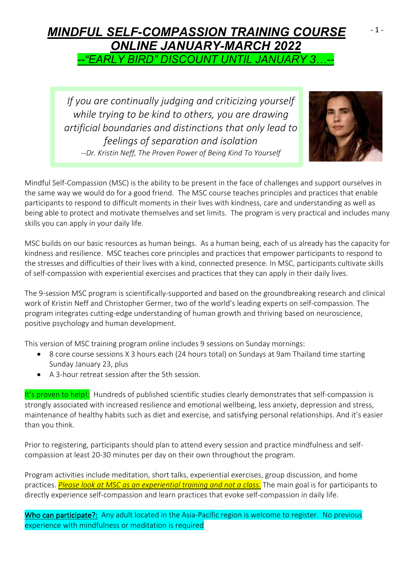### *MINDFUL SELF-COMPASSION TRAINING COURSE ONLINE JANUARY-MARCH 2022 --"EARLY BIRD" DISCOUNT UNTIL JANUARY 3…--*- 1 -

*If you are continually judging and criticizing yourself while trying to be kind to others, you are drawing artificial boundaries and distinctions that only lead to feelings of separation and isolation --Dr. Kristin Neff, The Proven Power of Being Kind To Yourself*



Mindful Self-Compassion (MSC) is the ability to be present in the face of challenges and support ourselves in the same way we would do for a good friend. The MSC course teaches principles and practices that enable participants to respond to difficult moments in their lives with kindness, care and understanding as well as being able to protect and motivate themselves and set limits. The program is very practical and includes many skills you can apply in your daily life.

MSC builds on our basic resources as human beings. As a human being, each of us already has the capacity for kindness and resilience. MSC teaches core principles and practices that empower participants to respond to the stresses and difficulties of their lives with a kind, connected presence. In MSC, participants cultivate skills of self-compassion with experiential exercises and practices that they can apply in their daily lives.

The 9-session MSC program is scientifically-supported and based on the groundbreaking research and clinical work of Kristin Neff and Christopher Germer, two of the world's leading experts on self-compassion. The program integrates cutting-edge understanding of human growth and thriving based on neuroscience, positive psychology and human development.

This version of MSC training program online includes 9 sessions on Sunday mornings:

- 8 core course sessions X 3 hours each (24 hours total) on Sundays at 9am Thailand time starting Sunday January 23, plus
- A 3-hour retreat session after the 5th session.

It's proven to help!: Hundreds of published scientific studies clearly demonstrates that self-compassion is strongly associated with increased resilience and emotional wellbeing, less anxiety, depression and stress, maintenance of healthy habits such as diet and exercise, and satisfying personal relationships. And it's easier than you think.

Prior to registering, participants should plan to attend every session and practice mindfulness and selfcompassion at least 20-30 minutes per day on their own throughout the program.

Program activities include meditation, short talks, experiential exercises, group discussion, and home practices. *Please look at MSC as an experiential training and not a class.* The main goal is for participants to directly experience self-compassion and learn practices that evoke self-compassion in daily life.

Who can participate?: Any adult located in the Asia-Pacific region is welcome to register. No previous experience with mindfulness or meditation is required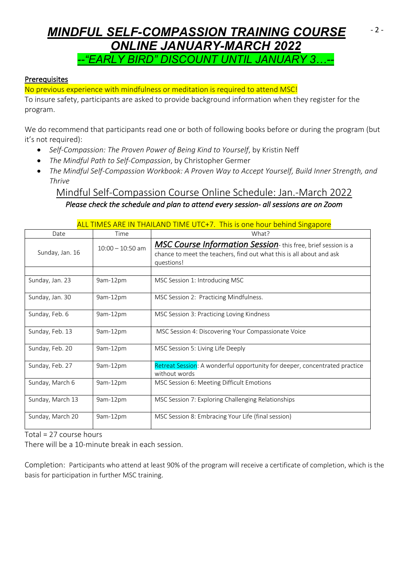# *MINDFUL SELF-COMPASSION TRAINING COURSE ONLINE JANUARY-MARCH 2022 --"EARLY BIRD" DISCOUNT UNTIL JANUARY 3…--*

- 2 -

#### Prerequisites

No previous experience with mindfulness or meditation is required to attend MSC!

To insure safety, participants are asked to provide background information when they register for the program.

We do recommend that participants read one or both of following books before or during the program (but it's not required):

- *Self-Compassion: The Proven Power of Being Kind to Yourself*, by Kristin Neff
- *The Mindful Path to Self-Compassion*, by Christopher Germer
- *The Mindful Self-Compassion Workbook: A Proven Way to Accept Yourself, Build Inner Strength, and Thrive*

Mindful Self-Compassion Course Online Schedule: Jan.-March 2022 *Please check the schedule and plan to attend every session- all sessions are on Zoom* 

|                  |                    | <u>ALL TIMES ARE IN THAILAND TIME UTC+7. This is one hour behind Singapore</u>                                                                     |
|------------------|--------------------|----------------------------------------------------------------------------------------------------------------------------------------------------|
| Date             | Time               | What?                                                                                                                                              |
| Sunday, Jan. 16  | $10:00 - 10:50$ am | MSC Course Information Session-this free, brief session is a<br>chance to meet the teachers, find out what this is all about and ask<br>questions! |
| Sunday, Jan. 23  | 9am-12pm           | MSC Session 1: Introducing MSC                                                                                                                     |
| Sunday, Jan. 30  | 9am-12pm           | MSC Session 2: Practicing Mindfulness.                                                                                                             |
| Sunday, Feb. 6   | 9am-12pm           | MSC Session 3: Practicing Loving Kindness                                                                                                          |
| Sunday, Feb. 13  | 9am-12pm           | MSC Session 4: Discovering Your Compassionate Voice                                                                                                |
| Sunday, Feb. 20  | 9am-12pm           | MSC Session 5: Living Life Deeply                                                                                                                  |
| Sunday, Feb. 27  | 9am-12pm           | Retreat Session: A wonderful opportunity for deeper, concentrated practice<br>without words                                                        |
| Sunday, March 6  | 9am-12pm           | MSC Session 6: Meeting Difficult Emotions                                                                                                          |
| Sunday, March 13 | 9am-12pm           | MSC Session 7: Exploring Challenging Relationships                                                                                                 |
| Sunday, March 20 | 9am-12pm           | MSC Session 8: Embracing Your Life (final session)                                                                                                 |

ALL TIMES ARE IN THAILAND TIME UTC+7. This is one hour behind Singapore

Total = 27 course hours

There will be a 10-minute break in each session.

Completion: Participants who attend at least 90% of the program will receive a certificate of completion, which is the basis for participation in further MSC training.